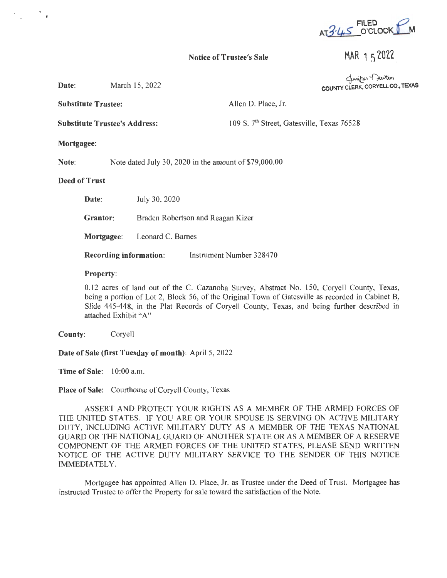$FILED$  $AT3.45$  O'CLOCK  $LM$ 

## Notice of Trustee's Sale

MAR 1 5 2022

**COUNTY CLE** ~~ **RK, CORYELL CO., TEXAS** 

| <b>Substitute Trustee:</b>           |                                                        |                                   | Allen D. Place, Jr.                                    |
|--------------------------------------|--------------------------------------------------------|-----------------------------------|--------------------------------------------------------|
| <b>Substitute Trustee's Address:</b> |                                                        |                                   | 109 S. 7 <sup>th</sup> Street, Gatesville, Texas 76528 |
| <b>Mortgagee:</b>                    |                                                        |                                   |                                                        |
| Note:                                | Note dated July 30, 2020 in the amount of \$79,000.00  |                                   |                                                        |
| <b>Deed of Trust</b>                 |                                                        |                                   |                                                        |
|                                      | Date:                                                  | July 30, 2020                     |                                                        |
|                                      | Grantor:                                               | Braden Robertson and Reagan Kizer |                                                        |
|                                      | Mortgagee:                                             | Leonard C. Barnes                 |                                                        |
|                                      | <b>Recording information:</b> Instrument Number 328470 |                                   |                                                        |
|                                      | <b>Property:</b>                                       |                                   |                                                        |

0.12 acres of land out of the C. Cazanoba Survey, Abstract No. 150, Coryell County, Texas, being a portion of Lot 2, Block 56, of the Original Town of Gatesville as recorded in Cabinet B, Slide 445-448, in the Plat Records of Coryell County, Texas, and being further described in attached Exhibit "A"

**County:** Coryell

Date: March 15, 2022

**Date of Sale (first Tuesday of month):** April 5, 2022

**Time of Sale:** 10:00 a.m.

**Place of Sale:** Courthouse of Coryell County, Texas

ASSERT AND PROTECT YOUR RIGHTS AS A MEMBER OF THE ARMED FORCES OF THE UNITED STATES. IF YOU ARE OR YOUR SPOUSE IS SERVING ON ACTIVE MILITARY DUTY, INCLUDING ACTIVE MILITARY DUTY AS A MEMBER OF THE TEXAS NATIONAL GUARD OR THE NATIONAL GUARD OF ANOTHER STATE OR AS A MEMBER OF A RESERVE COMPONENT OF THE ARMED FORCES OF THE UNITED STATES, PLEASE SEND WRITTEN NOTICE OF THE ACTIVE DUTY MILITARY SERVICE TO THE SENDER OF THIS NOTICE IMMEDIATELY.

Mortgagee has appointed Allen D. Place, Jr. as Trustee under the Deed of Trust. Mortgagee has instructed Trustee to offer the Property for sale toward the satisfaction of the Note.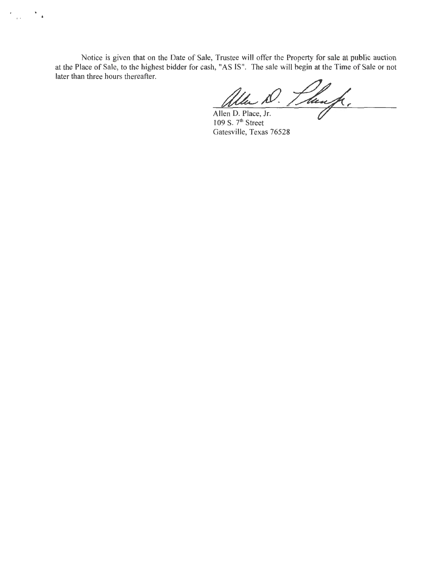Notice is given that on the Date of Sale, Trustee will offer the Property for sale at public auction at the Place of Sale, to the highest bidder for cash, "AS IS". The sale will begin at the Time of Sale or not later than three hours thereafter.

 $\epsilon_{\rm{max}}$ 

 $\overline{\phantom{a}}$  .

1. Thurp.

Allen D. Place, Jr. 109 S.  $7<sup>th</sup>$  Street Gatesville, Texas 76528